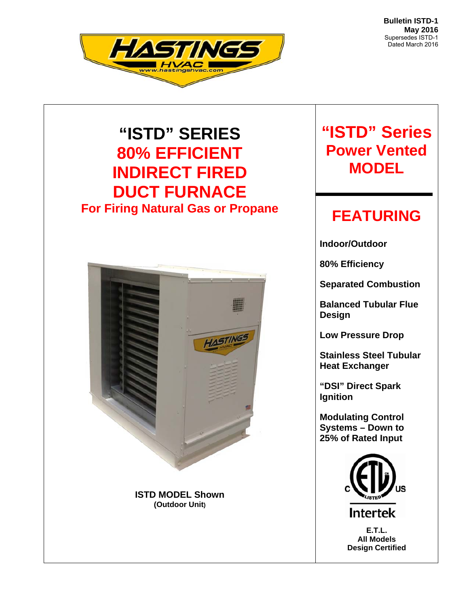**Bulletin ISTD-1 May 2016**  Supersedes ISTD-1 Dated March 2016



# **"ISTD" SERIES 80% EFFICIENT INDIRECT FIRED DUCT FURNACE For Firing Natural Gas or Propane**



# **"ISTD" Series Power Vented MODEL**

# **FEATURING**

**Indoor/Outdoor** 

**80% Efficiency** 

**Separated Combustion** 

**Balanced Tubular Flue Design** 

**Low Pressure Drop** 

**Stainless Steel Tubular Heat Exchanger** 

**"DSI" Direct Spark Ignition** 

**Modulating Control Systems – Down to 25% of Rated Input** 



**Intertek** 

**E.T.L. All Models Design Certified**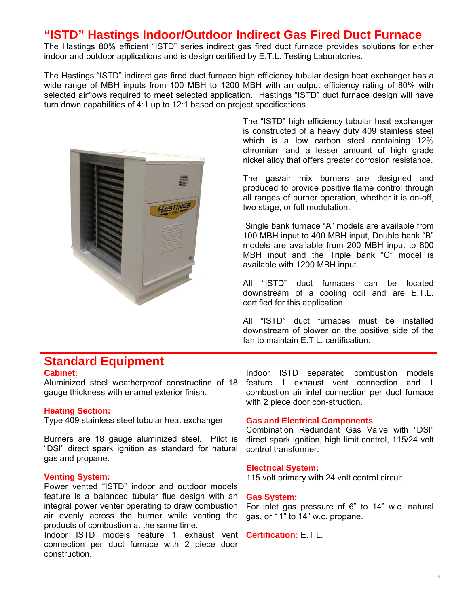## **"ISTD" Hastings Indoor/Outdoor Indirect Gas Fired Duct Furnace**

The Hastings 80% efficient "ISTD" series indirect gas fired duct furnace provides solutions for either indoor and outdoor applications and is design certified by E.T.L. Testing Laboratories.

The Hastings "ISTD" indirect gas fired duct furnace high efficiency tubular design heat exchanger has a wide range of MBH inputs from 100 MBH to 1200 MBH with an output efficiency rating of 80% with selected airflows required to meet selected application. Hastings "ISTD" duct furnace design will have turn down capabilities of 4:1 up to 12:1 based on project specifications.



The "ISTD" high efficiency tubular heat exchanger is constructed of a heavy duty 409 stainless steel which is a low carbon steel containing 12% chromium and a lesser amount of high grade nickel alloy that offers greater corrosion resistance.

The gas/air mix burners are designed and produced to provide positive flame control through all ranges of burner operation, whether it is on-off, two stage, or full modulation.

 Single bank furnace "A" models are available from 100 MBH input to 400 MBH input, Double bank "B" models are available from 200 MBH input to 800 MBH input and the Triple bank "C" model is available with 1200 MBH input.

All "ISTD" duct furnaces can be located downstream of a cooling coil and are E.T.L. certified for this application.

All "ISTD" duct furnaces must be installed downstream of blower on the positive side of the fan to maintain E.T.L. certification.

## **Standard Equipment**

### **Cabinet:**

gauge thickness with enamel exterior finish.

#### **Heating Section:**

Type 409 stainless steel tubular heat exchanger

Burners are 18 gauge aluminized steel. Pilot is "DSI" direct spark ignition as standard for natural gas and propane.

#### **Venting System:**

Power vented "ISTD" indoor and outdoor models feature is a balanced tubular flue design with an integral power venter operating to draw combustion air evenly across the burner while venting the products of combustion at the same time.

Indoor ISTD models feature 1 exhaust vent **Certification:** E.T.L. connection per duct furnace with 2 piece door construction.

Aluminized steel weatherproof construction of 18 feature 1 exhaust vent connection and 1 Indoor ISTD separated combustion models combustion air inlet connection per duct furnace with 2 piece door con-struction.

#### **Gas and Electrical Components**

Combination Redundant Gas Valve with "DSI" direct spark ignition, high limit control, 115/24 volt control transformer.

#### **Electrical System:**

115 volt primary with 24 volt control circuit.

#### **Gas System:**

For inlet gas pressure of 6" to 14" w.c. natural gas, or 11" to 14" w.c. propane.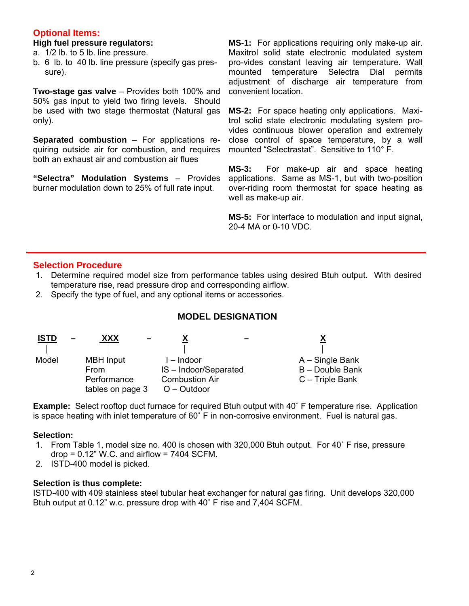### **Optional Items:**

#### **High fuel pressure regulators:**

- a. 1/2 lb. to 5 lb. line pressure.
- b. 6 lb. to 40 lb. line pressure (specify gas pres sure).

**Two-stage gas valve** – Provides both 100% and 50% gas input to yield two firing levels. Should be used with two stage thermostat (Natural gas only).

**Separated combustion** – For applications requiring outside air for combustion, and requires both an exhaust air and combustion air flues

**"Selectra" Modulation Systems** – Provides burner modulation down to 25% of full rate input.

**MS-1:** For applications requiring only make-up air. Maxitrol solid state electronic modulated system pro-vides constant leaving air temperature. Wall mounted temperature Selectra Dial permits adjustment of discharge air temperature from convenient location.

**MS-2:** For space heating only applications. Maxitrol solid state electronic modulating system provides continuous blower operation and extremely close control of space temperature, by a wall mounted "Selectrastat". Sensitive to 110° F.

**MS-3:** For make-up air and space heating applications. Same as MS-1, but with two-position over-riding room thermostat for space heating as well as make-up air.

**MS-5:** For interface to modulation and input signal, 20-4 MA or 0-10 VDC.

### **Selection Procedure**

- 1. Determine required model size from performance tables using desired Btuh output. With desired temperature rise, read pressure drop and corresponding airflow.
- 2. Specify the type of fuel, and any optional items or accessories.

### **MODEL DESIGNATION**

| <b>ISTD</b> | XXX                                                         |                                                                             |                                                           |
|-------------|-------------------------------------------------------------|-----------------------------------------------------------------------------|-----------------------------------------------------------|
| Model       | <b>MBH</b> Input<br>From<br>Performance<br>tables on page 3 | I – Indoor<br>IS-Indoor/Separated<br><b>Combustion Air</b><br>$O - Outdoor$ | $A -$ Single Bank<br>B - Double Bank<br>$C -$ Triple Bank |

**Example:** Select rooftop duct furnace for required Btuh output with 40˚ F temperature rise. Application is space heating with inlet temperature of 60˚ F in non-corrosive environment. Fuel is natural gas.

#### **Selection:**

- 1. From Table 1, model size no. 400 is chosen with 320,000 Btuh output. For 40˚ F rise, pressure  $drop = 0.12"$  W.C. and airflow = 7404 SCFM.
- 2. ISTD-400 model is picked.

#### **Selection is thus complete:**

ISTD-400 with 409 stainless steel tubular heat exchanger for natural gas firing. Unit develops 320,000 Btuh output at 0.12" w.c. pressure drop with 40˚ F rise and 7,404 SCFM.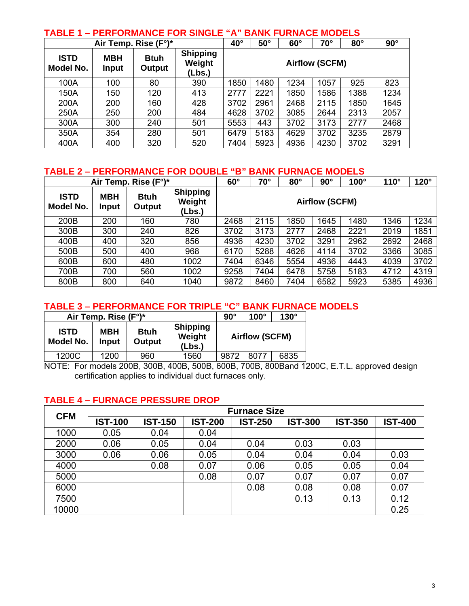| TABLE 1 – PERFORMANCE FOR SINGLE "A" BANK FURNACE MODELS |                            |                       |                                     |                       |              |            |            |      |      |  |  |
|----------------------------------------------------------|----------------------------|-----------------------|-------------------------------------|-----------------------|--------------|------------|------------|------|------|--|--|
|                                                          | Air Temp. Rise (F°)*       | $40^{\circ}$          | $50^\circ$                          | $60^\circ$            | $70^{\circ}$ | $80^\circ$ | $90^\circ$ |      |      |  |  |
| <b>ISTD</b><br>Model No.                                 | <b>MBH</b><br><b>Input</b> | <b>Btuh</b><br>Output | <b>Shipping</b><br>Weight<br>(Lbs.) | <b>Airflow (SCFM)</b> |              |            |            |      |      |  |  |
| 100A                                                     | 100                        | 80                    | 390                                 | 1850                  | 1480         | 1234       | 1057       | 925  | 823  |  |  |
| 150A                                                     | 150                        | 120                   | 413                                 | 2777                  | 2221         | 1850       | 1586       | 1388 | 1234 |  |  |
| 200A                                                     | 200                        | 160                   | 428                                 | 3702                  | 2961         | 2468       | 2115       | 1850 | 1645 |  |  |
| 250A                                                     | 250                        | 200                   | 484                                 | 4628                  | 3702         | 3085       | 2644       | 2313 | 2057 |  |  |
| 300A                                                     | 300                        | 240                   | 501                                 | 5553                  | 443          | 3702       | 3173       | 2777 | 2468 |  |  |
| 350A                                                     | 354                        | 280                   | 501                                 | 6479                  | 5183         | 4629       | 3702       | 3235 | 2879 |  |  |
| 400A                                                     | 400                        | 320                   | 520                                 | 7404                  | 5923         | 4936       | 4230       | 3702 | 3291 |  |  |

## **TABLE 1 – PERFORMANCE FOR SINGLE "A" BANK FURNACE MODELS**

### **TABLE 2 – PERFORMANCE FOR DOUBLE "B" BANK FURNACE MODELS**

| Air Temp. Rise (F°)*     |                            |                       |                                     | $60^\circ$            | $70^\circ$ | $80^\circ$ | $90^\circ$ | $100^\circ$ | $110^\circ$ | $120^\circ$ |
|--------------------------|----------------------------|-----------------------|-------------------------------------|-----------------------|------------|------------|------------|-------------|-------------|-------------|
| <b>ISTD</b><br>Model No. | <b>MBH</b><br><b>Input</b> | <b>Btuh</b><br>Output | <b>Shipping</b><br>Weight<br>(Lbs.) | <b>Airflow (SCFM)</b> |            |            |            |             |             |             |
| 200B                     | 200                        | 160                   | 780                                 | 2468                  | 2115       | 1850       | 1645       | 1480        | 1346        | 1234        |
| 300B                     | 300                        | 240                   | 826                                 | 3702                  | 3173       | 2777       | 2468       | 2221        | 2019        | 1851        |
| 400B                     | 400                        | 320                   | 856                                 | 4936                  | 4230       | 3702       | 3291       | 2962        | 2692        | 2468        |
| 500B                     | 500                        | 400                   | 968                                 | 6170                  | 5288       | 4626       | 4114       | 3702        | 3366        | 3085        |
| 600B                     | 600                        | 480                   | 1002                                | 7404                  | 6346       | 5554       | 4936       | 4443        | 4039        | 3702        |
| 700B                     | 700                        | 560                   | 1002                                | 9258                  | 7404       | 6478       | 5758       | 5183        | 4712        | 4319        |
| 800B                     | 800                        | 640                   | 1040                                | 9872                  | 8460       | 7404       | 6582       | 5923        | 5385        | 4936        |

## **TABLE 3 – PERFORMANCE FOR TRIPLE "C" BANK FURNACE MODELS**

|                          | Air Temp. Rise (F°)* |                       |                                     | $90^\circ$ | $100^\circ$           | $130^\circ$ |  |
|--------------------------|----------------------|-----------------------|-------------------------------------|------------|-----------------------|-------------|--|
| <b>ISTD</b><br>Model No. | <b>MBH</b><br>Input  | <b>Btuh</b><br>Output | <b>Shipping</b><br>Weight<br>(Lbs.) |            | <b>Airflow (SCFM)</b> |             |  |
| 1200C                    | 1200                 | 960                   | 1560                                | 9872       | 8077                  | 6835        |  |

NOTE: For models 200B, 300B, 400B, 500B, 600B, 700B, 800Band 1200C, E.T.L. approved design certification applies to individual duct furnaces only.

## **TABLE 4 – FURNACE PRESSURE DROP**

| <b>CFM</b> | <b>Furnace Size</b> |                |                |                |                |                |                |  |  |  |  |  |
|------------|---------------------|----------------|----------------|----------------|----------------|----------------|----------------|--|--|--|--|--|
|            | <b>IST-100</b>      | <b>IST-150</b> | <b>IST-200</b> | <b>IST-250</b> | <b>IST-300</b> | <b>IST-350</b> | <b>IST-400</b> |  |  |  |  |  |
| 1000       | 0.05                | 0.04           | 0.04           |                |                |                |                |  |  |  |  |  |
| 2000       | 0.06                | 0.05           | 0.04           | 0.04           | 0.03           | 0.03           |                |  |  |  |  |  |
| 3000       | 0.06                | 0.06           | 0.05           | 0.04           | 0.04           | 0.04           | 0.03           |  |  |  |  |  |
| 4000       |                     | 0.08           | 0.07           | 0.06           | 0.05           | 0.05           | 0.04           |  |  |  |  |  |
| 5000       |                     |                | 0.08           | 0.07           | 0.07           | 0.07           | 0.07           |  |  |  |  |  |
| 6000       |                     |                |                | 0.08           | 0.08           | 0.08           | 0.07           |  |  |  |  |  |
| 7500       |                     |                |                |                | 0.13           | 0.13           | 0.12           |  |  |  |  |  |
| 10000      |                     |                |                |                |                |                | 0.25           |  |  |  |  |  |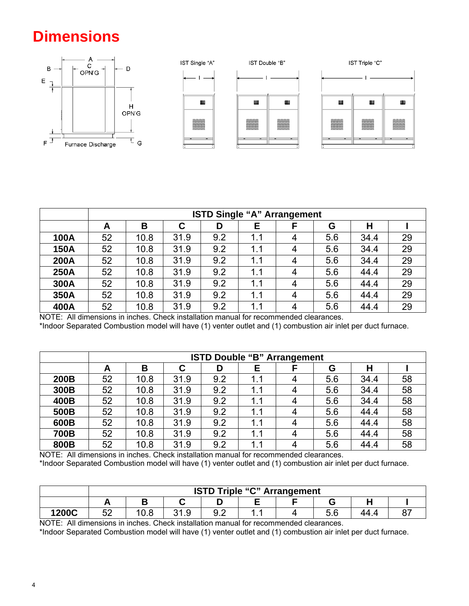# **Dimensions**



|             |    | <b>ISTD Single "A" Arrangement</b> |      |     |     |   |     |      |    |  |  |  |
|-------------|----|------------------------------------|------|-----|-----|---|-----|------|----|--|--|--|
|             | A  | B                                  | С    | D   | Е   | F | G   | н    |    |  |  |  |
| <b>100A</b> | 52 | 10.8                               | 31.9 | 9.2 | 1.1 | 4 | 5.6 | 34.4 | 29 |  |  |  |
| <b>150A</b> | 52 | 10.8                               | 31.9 | 9.2 | 1.1 | 4 | 5.6 | 34.4 | 29 |  |  |  |
| 200A        | 52 | 10.8                               | 31.9 | 9.2 | 1.1 | 4 | 5.6 | 34.4 | 29 |  |  |  |
| <b>250A</b> | 52 | 10.8                               | 31.9 | 9.2 | 1.1 | 4 | 5.6 | 44.4 | 29 |  |  |  |
| 300A        | 52 | 10.8                               | 31.9 | 9.2 | 1.1 | 4 | 5.6 | 44.4 | 29 |  |  |  |
| 350A        | 52 | 10.8                               | 31.9 | 9.2 | 1.1 | 4 | 5.6 | 44.4 | 29 |  |  |  |
| 400A        | 52 | 10.8                               | 31.9 | 9.2 | 1.1 | 4 | 5.6 | 44.4 | 29 |  |  |  |

 NOTE: All dimensions in inches. Check installation manual for recommended clearances. \*Indoor Separated Combustion model will have (1) venter outlet and (1) combustion air inlet per duct furnace.

|             |    | <b>ISTD Double "B" Arrangement</b> |      |     |     |  |     |      |    |  |  |  |
|-------------|----|------------------------------------|------|-----|-----|--|-----|------|----|--|--|--|
|             | A  | В                                  | C    | D   | Е   |  | G   | н    |    |  |  |  |
| 200B        | 52 | 10.8                               | 31.9 | 9.2 | 1.1 |  | 5.6 | 34.4 | 58 |  |  |  |
| 300B        | 52 | 10.8                               | 31.9 | 9.2 | 1.1 |  | 5.6 | 34.4 | 58 |  |  |  |
| 400B        | 52 | 10.8                               | 31.9 | 9.2 | 1.1 |  | 5.6 | 34.4 | 58 |  |  |  |
| 500B        | 52 | 10.8                               | 31.9 | 9.2 | 1.1 |  | 5.6 | 44.4 | 58 |  |  |  |
| 600B        | 52 | 10.8                               | 31.9 | 9.2 | 1.1 |  | 5.6 | 44.4 | 58 |  |  |  |
| <b>700B</b> | 52 | 10.8                               | 31.9 | 9.2 | 1.1 |  | 5.6 | 44.4 | 58 |  |  |  |
| 800B        | 52 | 10.8                               | 31.9 | 9.2 | 1.1 |  | 5.6 | 44.4 | 58 |  |  |  |

NOTE: All dimensions in inches. Check installation manual for recommended clearances.

\*Indoor Separated Combustion model will have (1) venter outlet and (1) combustion air inlet per duct furnace.

|       |           | <b>ISTD Triple "C" Arrangement</b> |                  |     |   |  |            |  |  |  |  |  |
|-------|-----------|------------------------------------|------------------|-----|---|--|------------|--|--|--|--|--|
|       |           |                                    |                  |     |   |  |            |  |  |  |  |  |
| 1200C | r c<br>◡▵ | റ റ<br>v.v                         | $\sim$<br>ن. ا ب | ◡.∠ | . |  | E C<br>v.v |  |  |  |  |  |

NOTE: All dimensions in inches. Check installation manual for recommended clearances.

\*Indoor Separated Combustion model will have (1) venter outlet and (1) combustion air inlet per duct furnace.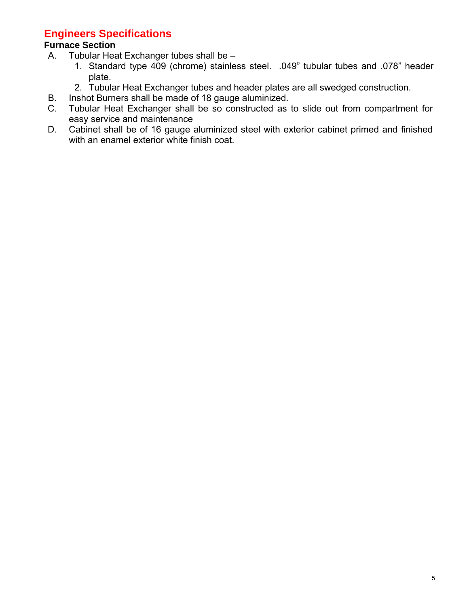## **Engineers Specifications**

## **Furnace Section**

- A. Tubular Heat Exchanger tubes shall be
	- 1. Standard type 409 (chrome) stainless steel. .049" tubular tubes and .078" header plate.
	- 2. Tubular Heat Exchanger tubes and header plates are all swedged construction.
- B. Inshot Burners shall be made of 18 gauge aluminized.
- C. Tubular Heat Exchanger shall be so constructed as to slide out from compartment for easy service and maintenance
- D. Cabinet shall be of 16 gauge aluminized steel with exterior cabinet primed and finished with an enamel exterior white finish coat.